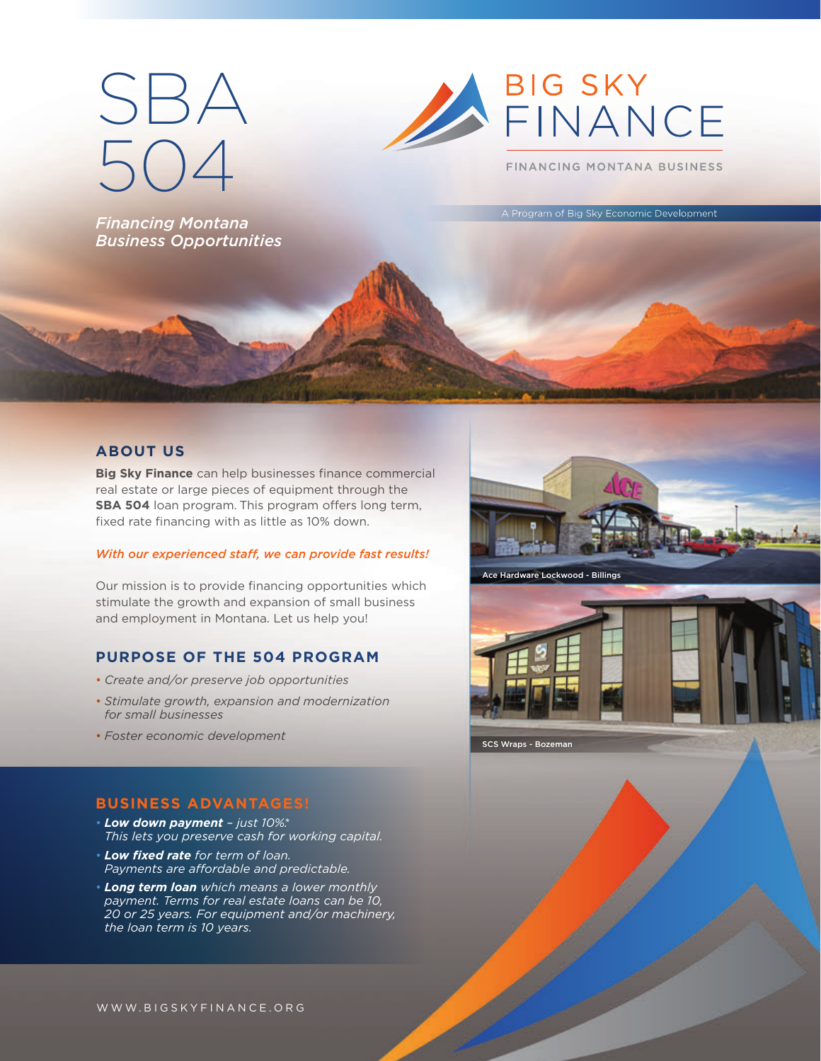# SBA 504

*Financing Montana Business Opportunities*



FINANCING MONTANA BUSINESS

Program of Big Sky Economic Development

# **ABOUT US**

**Big Sky Finance** can help businesses finance commercial real estate or large pieces of equipment through the **SBA 504** loan program. This program offers long term, fixed rate financing with as little as 10% down.

#### *With our experienced staff, we can provide fast results!*

Our mission is to provide financing opportunities which stimulate the growth and expansion of small business and employment in Montana. Let us help you!

# **PURPOSE OF THE 504 PROGRAM**

- *Create and/or preserve job opportunities*
- *Stimulate growth, expansion and modernization for small businesses*
- *Foster economic development*

# **BUSINESS ADVANTAGES!**

- *Low down payment just 10%.\* This lets you preserve cash for working capital.*
- *Low fixed rate for term of loan.*  Payments are affordable and predictable.
- *Long term loan which means a lower monthly payment. Terms for real estate loans can be 10, 20 or 25 years. For equipment and/or machinery, the loan term is 10 years.*





SCS Wraps - Bozeman